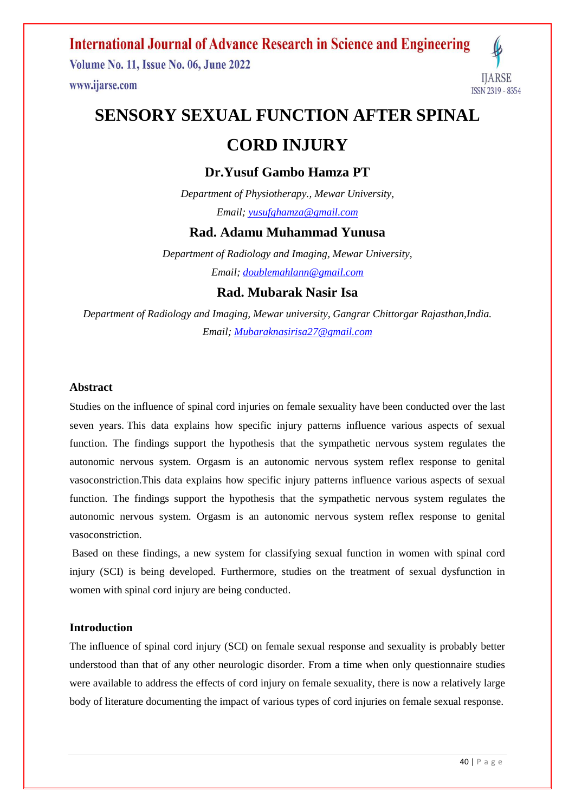**Volume No. 11, Issue No. 06, June 2022** www.ijarse.com



# **SENSORY SEXUAL FUNCTION AFTER SPINAL**

# **CORD INJURY**

### **Dr.Yusuf Gambo Hamza PT**

*Department of Physiotherapy., Mewar University, Email; [yusufghamza@gmail.com](mailto:yusufghamza@gmail.com)*

### **Rad. Adamu Muhammad Yunusa**

*Department of Radiology and Imaging, Mewar University, Email; [doublemahlann@gmail.com](mailto:doublemahlann@gmail.com)*

### **Rad. Mubarak Nasir Isa**

*Department of Radiology and Imaging, Mewar university, Gangrar Chittorgar Rajasthan,India. Email; [Mubaraknasirisa27@gmail.com](mailto:Mubaraknasirisa27@gmail.com)*

#### **Abstract**

Studies on the influence of spinal cord injuries on female sexuality have been conducted over the last seven years. This data explains how specific injury patterns influence various aspects of sexual function. The findings support the hypothesis that the sympathetic nervous system regulates the autonomic nervous system. Orgasm is an autonomic nervous system reflex response to genital vasoconstriction.This data explains how specific injury patterns influence various aspects of sexual function. The findings support the hypothesis that the sympathetic nervous system regulates the autonomic nervous system. Orgasm is an autonomic nervous system reflex response to genital vasoconstriction.

Based on these findings, a new system for classifying sexual function in women with spinal cord injury (SCI) is being developed. Furthermore, studies on the treatment of sexual dysfunction in women with spinal cord injury are being conducted.

#### **Introduction**

The influence of spinal cord injury (SCI) on female sexual response and sexuality is probably better understood than that of any other neurologic disorder. From a time when only questionnaire studies were available to address the effects of cord injury on female sexuality, there is now a relatively large body of literature documenting the impact of various types of cord injuries on female sexual response.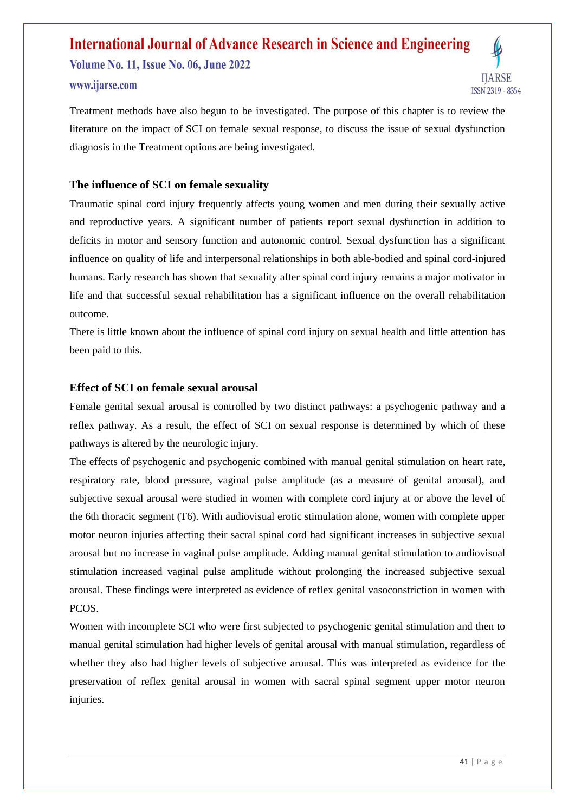**Volume No. 11, Issue No. 06, June 2022** www.ijarse.com



Treatment methods have also begun to be investigated. The purpose of this chapter is to review the literature on the impact of SCI on female sexual response, to discuss the issue of sexual dysfunction diagnosis in the Treatment options are being investigated.

#### **The influence of SCI on female sexuality**

Traumatic spinal cord injury frequently affects young women and men during their sexually active and reproductive years. A significant number of patients report sexual dysfunction in addition to deficits in motor and sensory function and autonomic control. Sexual dysfunction has a significant influence on quality of life and interpersonal relationships in both able-bodied and spinal cord-injured humans. Early research has shown that sexuality after spinal cord injury remains a major motivator in life and that successful sexual rehabilitation has a significant influence on the overall rehabilitation outcome.

There is little known about the influence of spinal cord injury on sexual health and little attention has been paid to this.

#### **Effect of SCI on female sexual arousal**

Female genital sexual arousal is controlled by two distinct pathways: a psychogenic pathway and a reflex pathway. As a result, the effect of SCI on sexual response is determined by which of these pathways is altered by the neurologic injury.

The effects of psychogenic and psychogenic combined with manual genital stimulation on heart rate, respiratory rate, blood pressure, vaginal pulse amplitude (as a measure of genital arousal), and subjective sexual arousal were studied in women with complete cord injury at or above the level of the 6th thoracic segment (T6). With audiovisual erotic stimulation alone, women with complete upper motor neuron injuries affecting their sacral spinal cord had significant increases in subjective sexual arousal but no increase in vaginal pulse amplitude. Adding manual genital stimulation to audiovisual stimulation increased vaginal pulse amplitude without prolonging the increased subjective sexual arousal. These findings were interpreted as evidence of reflex genital vasoconstriction in women with PCOS.

Women with incomplete SCI who were first subjected to psychogenic genital stimulation and then to manual genital stimulation had higher levels of genital arousal with manual stimulation, regardless of whether they also had higher levels of subjective arousal. This was interpreted as evidence for the preservation of reflex genital arousal in women with sacral spinal segment upper motor neuron injuries.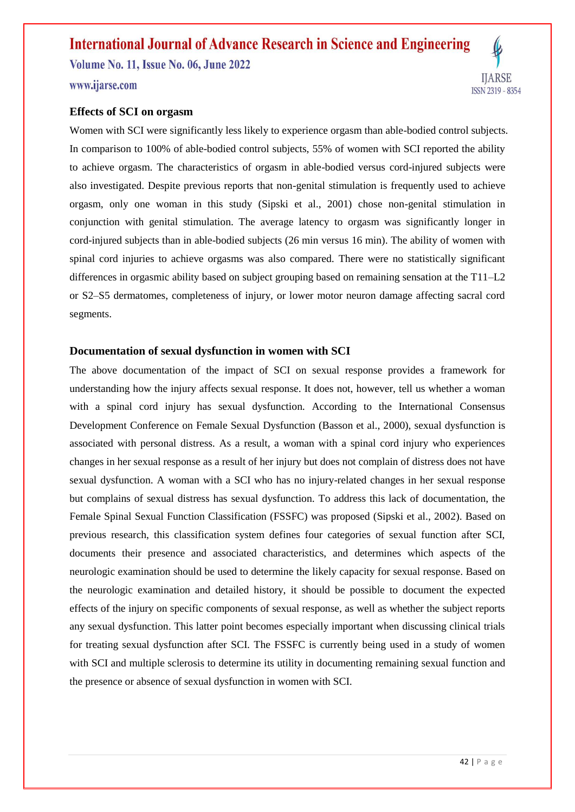**Volume No. 11, Issue No. 06, June 2022** www.ijarse.com

#### **Effects of SCI on orgasm**

Women with SCI were significantly less likely to experience orgasm than able-bodied control subjects. In comparison to 100% of able-bodied control subjects, 55% of women with SCI reported the ability to achieve orgasm. The characteristics of orgasm in able-bodied versus cord-injured subjects were also investigated. Despite previous reports that non-genital stimulation is frequently used to achieve orgasm, only one woman in this study (Sipski et al., 2001) chose non-genital stimulation in conjunction with genital stimulation. The average latency to orgasm was significantly longer in cord-injured subjects than in able-bodied subjects (26 min versus 16 min). The ability of women with spinal cord injuries to achieve orgasms was also compared. There were no statistically significant differences in orgasmic ability based on subject grouping based on remaining sensation at the T11–L2 or S2–S5 dermatomes, completeness of injury, or lower motor neuron damage affecting sacral cord segments.

#### **Documentation of sexual dysfunction in women with SCI**

The above documentation of the impact of SCI on sexual response provides a framework for understanding how the injury affects sexual response. It does not, however, tell us whether a woman with a spinal cord injury has sexual dysfunction. According to the International Consensus Development Conference on Female Sexual Dysfunction (Basson et al., 2000), sexual dysfunction is associated with personal distress. As a result, a woman with a spinal cord injury who experiences changes in her sexual response as a result of her injury but does not complain of distress does not have sexual dysfunction. A woman with a SCI who has no injury-related changes in her sexual response but complains of sexual distress has sexual dysfunction. To address this lack of documentation, the Female Spinal Sexual Function Classification (FSSFC) was proposed (Sipski et al., 2002). Based on previous research, this classification system defines four categories of sexual function after SCI, documents their presence and associated characteristics, and determines which aspects of the neurologic examination should be used to determine the likely capacity for sexual response. Based on the neurologic examination and detailed history, it should be possible to document the expected effects of the injury on specific components of sexual response, as well as whether the subject reports any sexual dysfunction. This latter point becomes especially important when discussing clinical trials for treating sexual dysfunction after SCI. The FSSFC is currently being used in a study of women with SCI and multiple sclerosis to determine its utility in documenting remaining sexual function and the presence or absence of sexual dysfunction in women with SCI.

**IJARSE** 

ISSN 2319 - 8354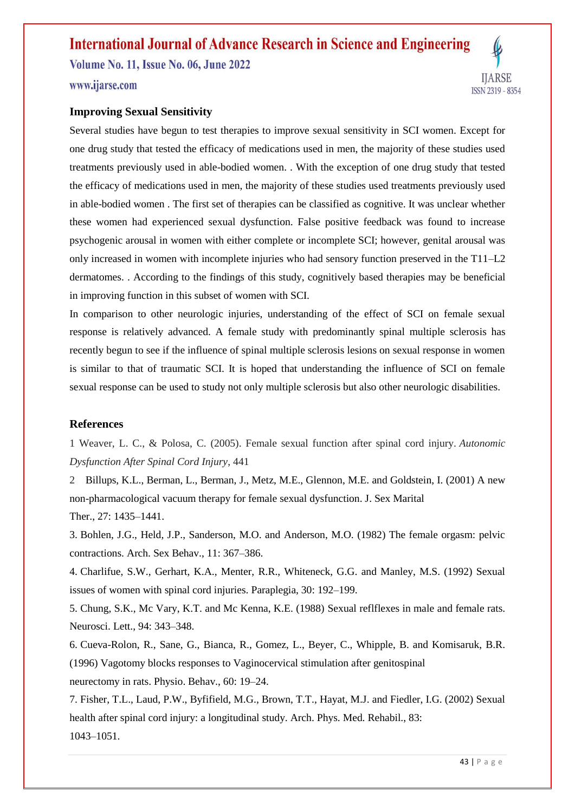**Volume No. 11, Issue No. 06, June 2022** www.ijarse.com



Several studies have begun to test therapies to improve sexual sensitivity in SCI women. Except for one drug study that tested the efficacy of medications used in men, the majority of these studies used treatments previously used in able-bodied women. . With the exception of one drug study that tested the efficacy of medications used in men, the majority of these studies used treatments previously used in able-bodied women . The first set of therapies can be classified as cognitive. It was unclear whether these women had experienced sexual dysfunction. False positive feedback was found to increase psychogenic arousal in women with either complete or incomplete SCI; however, genital arousal was only increased in women with incomplete injuries who had sensory function preserved in the T11–L2 dermatomes. . According to the findings of this study, cognitively based therapies may be beneficial in improving function in this subset of women with SCI.

In comparison to other neurologic injuries, understanding of the effect of SCI on female sexual response is relatively advanced. A female study with predominantly spinal multiple sclerosis has recently begun to see if the influence of spinal multiple sclerosis lesions on sexual response in women is similar to that of traumatic SCI. It is hoped that understanding the influence of SCI on female sexual response can be used to study not only multiple sclerosis but also other neurologic disabilities.

#### **References**

1 Weaver, L. C., & Polosa, C. (2005). Female sexual function after spinal cord injury. *Autonomic Dysfunction After Spinal Cord Injury*, 441

2 Billups, K.L., Berman, L., Berman, J., Metz, M.E., Glennon, M.E. and Goldstein, I. (2001) A new non-pharmacological vacuum therapy for female sexual dysfunction. J. Sex Marital Ther., 27: 1435–1441.

3. Bohlen, J.G., Held, J.P., Sanderson, M.O. and Anderson, M.O. (1982) The female orgasm: pelvic contractions. Arch. Sex Behav., 11: 367–386.

4. Charlifue, S.W., Gerhart, K.A., Menter, R.R., Whiteneck, G.G. and Manley, M.S. (1992) Sexual issues of women with spinal cord injuries. Paraplegia, 30: 192–199.

5. Chung, S.K., Mc Vary, K.T. and Mc Kenna, K.E. (1988) Sexual reflflexes in male and female rats. Neurosci. Lett., 94: 343–348.

6. Cueva-Rolon, R., Sane, G., Bianca, R., Gomez, L., Beyer, C., Whipple, B. and Komisaruk, B.R. (1996) Vagotomy blocks responses to Vaginocervical stimulation after genitospinal neurectomy in rats. Physio. Behav., 60: 19–24.

7. Fisher, T.L., Laud, P.W., Byfifield, M.G., Brown, T.T., Hayat, M.J. and Fiedler, I.G. (2002) Sexual health after spinal cord injury: a longitudinal study. Arch. Phys. Med. Rehabil., 83: 1043–1051.

**IJARSE** 

ISSN 2319 - 8354